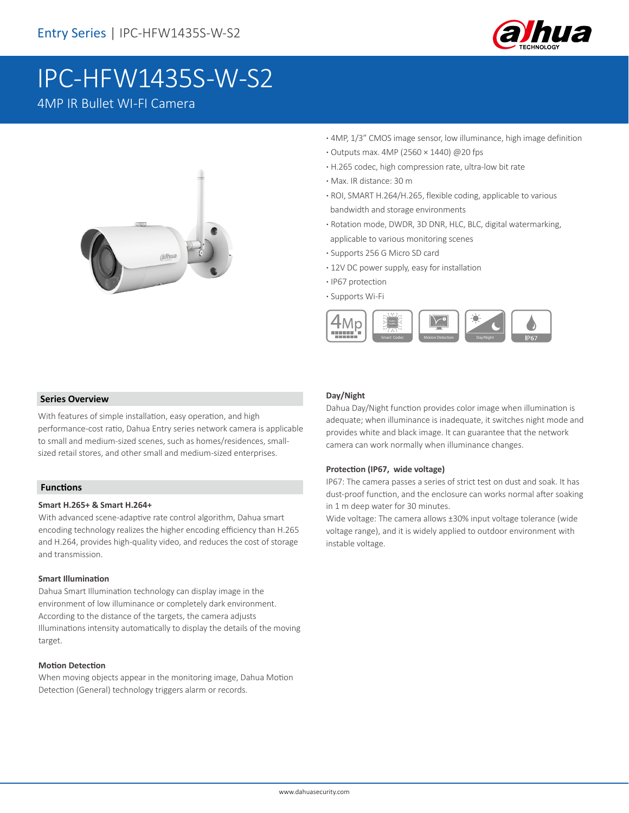

# IPC-HFW1435S-W-S2

## 4MP IR Bullet WI-FI Camera



- **·** 4MP, 1/3" CMOS image sensor, low illuminance, high image definition
- **·** Outputs max. 4MP (2560 × 1440) @20 fps
- **·** H.265 codec, high compression rate, ultra-low bit rate
- **·** Max. IR distance: 30 m
- **·** ROI, SMART H.264/H.265, flexible coding, applicable to various bandwidth and storage environments
- **·** Rotation mode, DWDR, 3D DNR, HLC, BLC, digital watermarking, applicable to various monitoring scenes
- **·** Supports 256 G Micro SD card
- **·** 12V DC power supply, easy for installation
- **·** IP67 protection
- **·** Supports Wi-Fi



#### **Series Overview**

With features of simple installation, easy operation, and high performance-cost ratio, Dahua Entry series network camera is applicable to small and medium-sized scenes, such as homes/residences, smallsized retail stores, and other small and medium-sized enterprises.

#### **Functions**

#### **Smart H.265+ & Smart H.264+**

With advanced scene-adaptive rate control algorithm, Dahua smart encoding technology realizes the higher encoding efficiency than H.265 and H.264, provides high-quality video, and reduces the cost of storage and transmission.

#### **Smart Illumination**

Dahua Smart Illumination technology can display image in the environment of low illuminance or completely dark environment. According to the distance of the targets, the camera adjusts Illuminations intensity automatically to display the details of the moving target.

#### **Motion Detection**

When moving objects appear in the monitoring image, Dahua Motion Detection (General) technology triggers alarm or records.

#### **Day/Night**

Dahua Day/Night function provides color image when illumination is adequate; when illuminance is inadequate, it switches night mode and provides white and black image. It can guarantee that the network camera can work normally when illuminance changes.

#### **Protection (IP67, wide voltage)**

IP67: The camera passes a series of strict test on dust and soak. It has dust-proof function, and the enclosure can works normal after soaking in 1 m deep water for 30 minutes.

Wide voltage: The camera allows ±30% input voltage tolerance (wide voltage range), and it is widely applied to outdoor environment with instable voltage.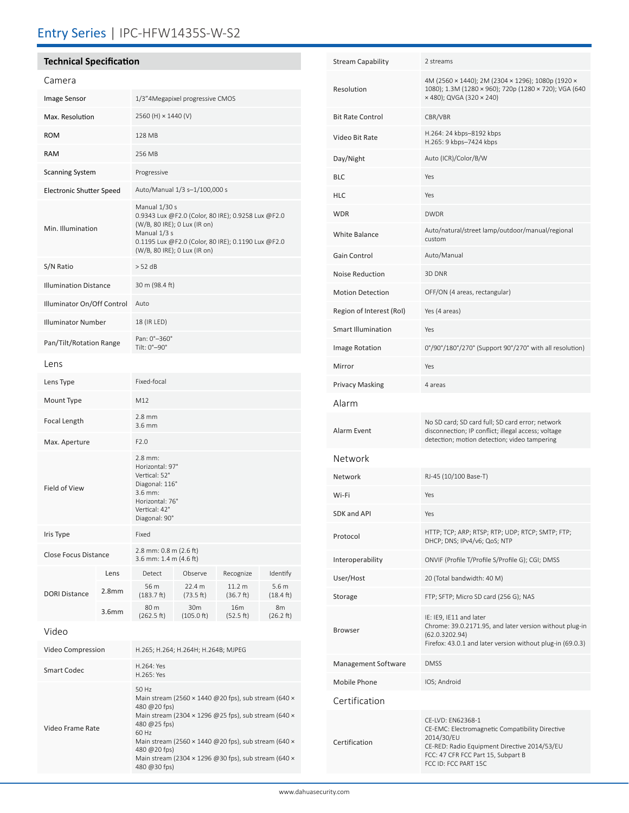# Entry Series | IPC-HFW1435S-W-S2

## **Technical Specification**

| Camera                          |                   |                                                                                                                                                                                                                                                                                                                |                               |                     |                              |
|---------------------------------|-------------------|----------------------------------------------------------------------------------------------------------------------------------------------------------------------------------------------------------------------------------------------------------------------------------------------------------------|-------------------------------|---------------------|------------------------------|
| Image Sensor                    |                   | 1/3"4Megapixel progressive CMOS                                                                                                                                                                                                                                                                                |                               |                     |                              |
| Max. Resolution                 |                   | 2560 (H) × 1440 (V)                                                                                                                                                                                                                                                                                            |                               |                     |                              |
| <b>ROM</b>                      |                   | 128 MB                                                                                                                                                                                                                                                                                                         |                               |                     |                              |
| <b>RAM</b>                      |                   | 256 MB                                                                                                                                                                                                                                                                                                         |                               |                     |                              |
| <b>Scanning System</b>          |                   | Progressive                                                                                                                                                                                                                                                                                                    |                               |                     |                              |
| <b>Electronic Shutter Speed</b> |                   | Auto/Manual 1/3 s-1/100,000 s                                                                                                                                                                                                                                                                                  |                               |                     |                              |
| Min. Illumination               |                   | Manual 1/30 s<br>0.9343 Lux @F2.0 (Color, 80 IRE); 0.9258 Lux @F2.0<br>(W/B, 80 IRE); 0 Lux (IR on)<br>Manual 1/3 s<br>0.1195 Lux @F2.0 (Color, 80 IRE); 0.1190 Lux @F2.0<br>(W/B, 80 IRE); 0 Lux (IR on)                                                                                                      |                               |                     |                              |
| S/N Ratio                       |                   | > 52 dB                                                                                                                                                                                                                                                                                                        |                               |                     |                              |
| <b>Illumination Distance</b>    |                   | 30 m (98.4 ft)                                                                                                                                                                                                                                                                                                 |                               |                     |                              |
| Illuminator On/Off Control      |                   | Auto                                                                                                                                                                                                                                                                                                           |                               |                     |                              |
| <b>Illuminator Number</b>       |                   | 18 (IR LED)                                                                                                                                                                                                                                                                                                    |                               |                     |                              |
| Pan/Tilt/Rotation Range         |                   | Pan: 0°-360°<br>Tilt: 0°-90°                                                                                                                                                                                                                                                                                   |                               |                     |                              |
| Lens                            |                   |                                                                                                                                                                                                                                                                                                                |                               |                     |                              |
| Lens Type                       |                   | Fixed-focal                                                                                                                                                                                                                                                                                                    |                               |                     |                              |
| Mount Type                      |                   | M12                                                                                                                                                                                                                                                                                                            |                               |                     |                              |
| Focal Length                    |                   | $2.8$ mm<br>$3.6$ mm                                                                                                                                                                                                                                                                                           |                               |                     |                              |
| Max. Aperture                   |                   | F2.0                                                                                                                                                                                                                                                                                                           |                               |                     |                              |
| Field of View                   |                   | $2.8$ mm:<br>Horizontal: 97°<br>Vertical: 52°<br>Diagonal: 116°<br>3.6 mm:<br>Horizontal: 76°<br>Vertical: 42°<br>Diagonal: 90°                                                                                                                                                                                |                               |                     |                              |
| Iris Type                       |                   | Fixed                                                                                                                                                                                                                                                                                                          |                               |                     |                              |
| Close Focus Distance            |                   | 2.8 mm: 0.8 m (2.6 ft)<br>3.6 mm: 1.4 m (4.6 ft)                                                                                                                                                                                                                                                               |                               |                     |                              |
|                                 | Lens              | Detect                                                                                                                                                                                                                                                                                                         | Observe                       | Recognize           | Identify                     |
| <b>DORI Distance</b>            | 2.8mm             | 56 m<br>(183.7 ft)                                                                                                                                                                                                                                                                                             | 22.4 m<br>(73.5 ft)           | 11.2 m<br>(36.7 ft) | 5.6 m<br>$(18.4 \text{ ft})$ |
|                                 | 3.6 <sub>mm</sub> | 80 m<br>(262.5 ft)                                                                                                                                                                                                                                                                                             | 30 <sub>m</sub><br>(105.0 ft) | 16m<br>(52.5 ft)    | 8m<br>(26.2 ft)              |
| Video                           |                   |                                                                                                                                                                                                                                                                                                                |                               |                     |                              |
| Video Compression               |                   | H.265; H.264; H.264H; H.264B; MJPEG                                                                                                                                                                                                                                                                            |                               |                     |                              |
| <b>Smart Codec</b>              |                   | H.264: Yes<br>H.265: Yes                                                                                                                                                                                                                                                                                       |                               |                     |                              |
| Video Frame Rate                |                   | 50 Hz<br>Main stream (2560 × 1440 @20 fps), sub stream (640 ×<br>480 @20 fps)<br>Main stream (2304 × 1296 @25 fps), sub stream (640 ×<br>480 @25 fps)<br>60 Hz<br>Main stream (2560 × 1440 @20 fps), sub stream (640 ×<br>480 @20 fps)<br>Main stream (2304 × 1296 @30 fps), sub stream (640 ×<br>480 @30 fps) |                               |                     |                              |

| Stream Capability        | 2 streams                                                                                                                                                                                        |  |  |
|--------------------------|--------------------------------------------------------------------------------------------------------------------------------------------------------------------------------------------------|--|--|
| Resolution               | 4M (2560 × 1440); 2M (2304 × 1296); 1080p (1920 ×<br>1080); 1.3M (1280 × 960); 720p (1280 × 720); VGA (640<br>x 480); QVGA (320 x 240)                                                           |  |  |
| Bit Rate Control         | CBR/VBR                                                                                                                                                                                          |  |  |
| Video Bit Rate           | H.264: 24 kbps-8192 kbps<br>H.265: 9 kbps-7424 kbps                                                                                                                                              |  |  |
| Day/Night                | Auto (ICR)/Color/B/W                                                                                                                                                                             |  |  |
| BLC                      | Yes                                                                                                                                                                                              |  |  |
| HLC                      | Yes                                                                                                                                                                                              |  |  |
| WDR                      | <b>DWDR</b>                                                                                                                                                                                      |  |  |
| White Balance            | Auto/natural/street lamp/outdoor/manual/regional<br>custom                                                                                                                                       |  |  |
| Gain Control             | Auto/Manual                                                                                                                                                                                      |  |  |
| <b>Noise Reduction</b>   | 3D DNR                                                                                                                                                                                           |  |  |
| <b>Motion Detection</b>  | OFF/ON (4 areas, rectangular)                                                                                                                                                                    |  |  |
| Region of Interest (RoI) | Yes (4 areas)                                                                                                                                                                                    |  |  |
| Smart Illumination       | Yes                                                                                                                                                                                              |  |  |
| Image Rotation           | 0°/90°/180°/270° (Support 90°/270° with all resolution)                                                                                                                                          |  |  |
| Mirror                   | Yes                                                                                                                                                                                              |  |  |
| Privacy Masking          | 4 areas                                                                                                                                                                                          |  |  |
| Alarm                    |                                                                                                                                                                                                  |  |  |
| Alarm Event              | No SD card; SD card full; SD card error; network<br>disconnection; IP conflict; illegal access; voltage<br>detection; motion detection; video tampering                                          |  |  |
| Network                  |                                                                                                                                                                                                  |  |  |
| Network                  | RJ-45 (10/100 Base-T)                                                                                                                                                                            |  |  |
| Wi-Fi                    | Yes                                                                                                                                                                                              |  |  |
| SDK and API              | Yes                                                                                                                                                                                              |  |  |
| Protocol                 | HTTP; TCP; ARP; RTSP; RTP; UDP; RTCP; SMTP; FTP;<br>DHCP; DNS; IPv4/v6; QoS; NTP                                                                                                                 |  |  |
| Interoperability         | ONVIF (Profile T/Profile S/Profile G); CGI; DMSS                                                                                                                                                 |  |  |
| User/Host                | 20 (Total bandwidth: 40 M)                                                                                                                                                                       |  |  |
| Storage                  | FTP; SFTP; Micro SD card (256 G); NAS                                                                                                                                                            |  |  |
| Browser                  | IE: IE9, IE11 and later<br>Chrome: 39.0.2171.95, and later version without plug-in<br>(62.0.3202.94)<br>Firefox: 43.0.1 and later version without plug-in (69.0.3)                               |  |  |
| Management Software      | <b>DMSS</b>                                                                                                                                                                                      |  |  |
| Mobile Phone             | IOS; Android                                                                                                                                                                                     |  |  |
| Certification            |                                                                                                                                                                                                  |  |  |
| Certification            | CE-LVD: EN62368-1<br>CE-EMC: Electromagnetic Compatibility Directive<br>2014/30/EU<br>CE-RED: Radio Equipment Directive 2014/53/EU<br>FCC: 47 CFR FCC Part 15, Subpart B<br>FCC ID: FCC PART 15C |  |  |